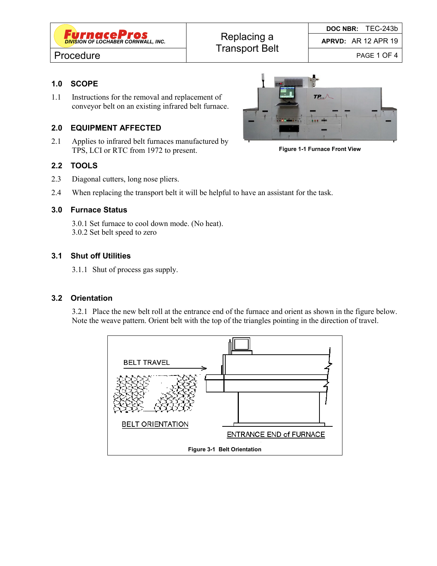

**APRVD:** AR 12 APR 19

# Procedure **Procedure Procedure PROCESS**

## **1.0 SCOPE**

1.1 Instructions for the removal and replacement of conveyor belt on an existing infrared belt furnace.

# **2.0 EQUIPMENT AFFECTED**

2.1 Applies to infrared belt furnaces manufactured by TPS, LCI or RTC from 1972 to present.

## **2.2 TOOLS**

- 2.3 Diagonal cutters, long nose pliers.
- 2.4 When replacing the transport belt it will be helpful to have an assistant for the task.

### **3.0 Furnace Status**

3.0.1 Set furnace to cool down mode. (No heat). 3.0.2 Set belt speed to zero

### **3.1 Shut off Utilities**

3.1.1 Shut of process gas supply.

#### **3.2 Orientation**

3.2.1 Place the new belt roll at the entrance end of the furnace and orient as shown in the figure below. Note the weave pattern. Orient belt with the top of the triangles pointing in the direction of travel.





**Figure 1-1 Furnace Front View**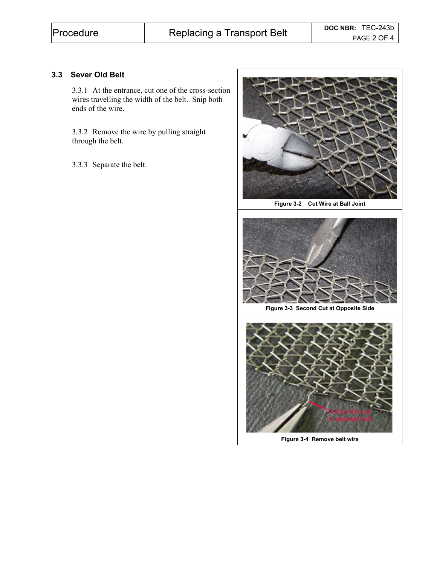## **3.3 Sever Old Belt**

3.3.1 At the entrance, cut one of the cross-section wires travelling the width of the belt. Snip both ends of the wire.

3.3.2 Remove the wire by pulling straight through the belt.

3.3.3 Separate the belt.



**Figure 3-2 Cut Wire at Ball Joint** 



**Figure 3-4 Remove belt wire**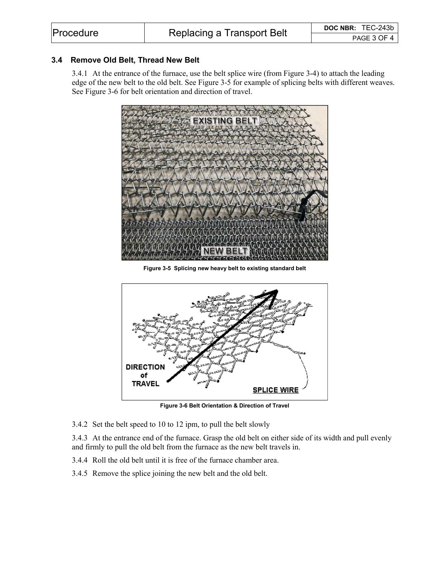### **3.4 Remove Old Belt, Thread New Belt**

3.4.1 At the entrance of the furnace, use the belt splice wire (from Figure 3-4) to attach the leading edge of the new belt to the old belt. See Figure 3-5 for example of splicing belts with different weaves. See Figure 3-6 for belt orientation and direction of travel.



**Figure 3-5 Splicing new heavy belt to existing standard belt** 



**Figure 3-6 Belt Orientation & Direction of Travel** 

3.4.2 Set the belt speed to 10 to 12 ipm, to pull the belt slowly

3.4.3 At the entrance end of the furnace. Grasp the old belt on either side of its width and pull evenly and firmly to pull the old belt from the furnace as the new belt travels in.

- 3.4.4 Roll the old belt until it is free of the furnace chamber area.
- 3.4.5 Remove the splice joining the new belt and the old belt.